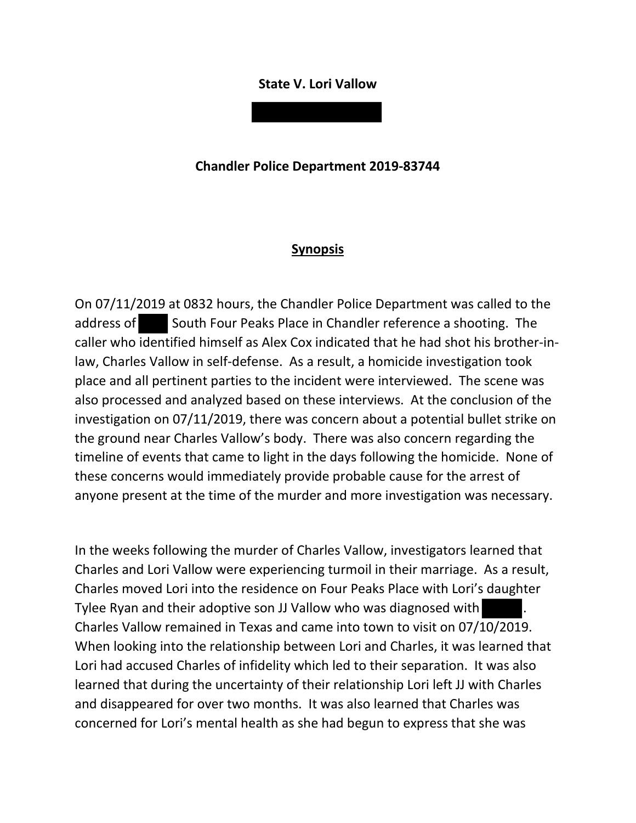## **State V. Lori Vallow**

**Chandler Police Department 2019-83744**

## **Synopsis**

On 07/11/2019 at 0832 hours, the Chandler Police Department was called to the address of South Four Peaks Place in Chandler reference a shooting. The caller who identified himself as Alex Cox indicated that he had shot his brother-inlaw, Charles Vallow in self-defense. As a result, a homicide investigation took place and all pertinent parties to the incident were interviewed. The scene was also processed and analyzed based on these interviews. At the conclusion of the investigation on 07/11/2019, there was concern about a potential bullet strike on the ground near Charles Vallow's body. There was also concern regarding the timeline of events that came to light in the days following the homicide. None of these concerns would immediately provide probable cause for the arrest of anyone present at the time of the murder and more investigation was necessary.

In the weeks following the murder of Charles Vallow, investigators learned that Charles and Lori Vallow were experiencing turmoil in their marriage. As a result, Charles moved Lori into the residence on Four Peaks Place with Lori's daughter Tylee Ryan and their adoptive son JJ Vallow who was diagnosed with . Charles Vallow remained in Texas and came into town to visit on 07/10/2019. When looking into the relationship between Lori and Charles, it was learned that Lori had accused Charles of infidelity which led to their separation. It was also learned that during the uncertainty of their relationship Lori left JJ with Charles and disappeared for over two months. It was also learned that Charles was concerned for Lori's mental health as she had begun to express that she was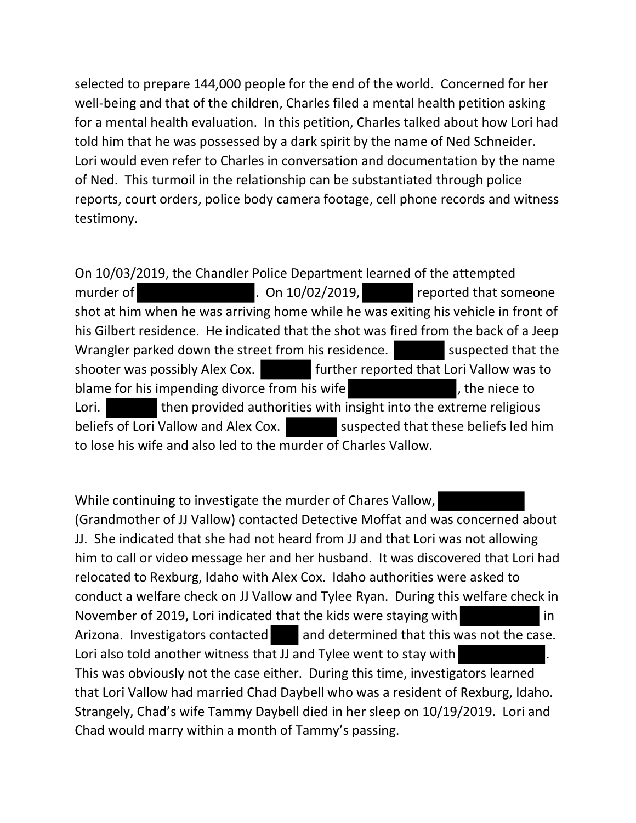selected to prepare 144,000 people for the end of the world. Concerned for her well-being and that of the children, Charles filed a mental health petition asking for a mental health evaluation. In this petition, Charles talked about how Lori had told him that he was possessed by a dark spirit by the name of Ned Schneider. Lori would even refer to Charles in conversation and documentation by the name of Ned. This turmoil in the relationship can be substantiated through police reports, court orders, police body camera footage, cell phone records and witness testimony.

On 10/03/2019, the Chandler Police Department learned of the attempted murder of **a community of the CO** control on 10/02/2019, **reported that someone** shot at him when he was arriving home while he was exiting his vehicle in front of his Gilbert residence. He indicated that the shot was fired from the back of a Jeep Wrangler parked down the street from his residence. Suspected that the shooter was possibly Alex Cox. **Further reported that Lori Vallow was to** blame for his impending divorce from his wife  $\blacksquare$ , the niece to Lori. **then provided authorities with insight into the extreme religious** beliefs of Lori Vallow and Alex Cox. suspected that these beliefs led him to lose his wife and also led to the murder of Charles Vallow.

While continuing to investigate the murder of Chares Vallow, (Grandmother of JJ Vallow) contacted Detective Moffat and was concerned about JJ. She indicated that she had not heard from JJ and that Lori was not allowing him to call or video message her and her husband. It was discovered that Lori had relocated to Rexburg, Idaho with Alex Cox. Idaho authorities were asked to conduct a welfare check on JJ Vallow and Tylee Ryan. During this welfare check in November of 2019, Lori indicated that the kids were staying with in Arizona. Investigators contacted and determined that this was not the case. Lori also told another witness that JJ and Tylee went to stay with This was obviously not the case either. During this time, investigators learned that Lori Vallow had married Chad Daybell who was a resident of Rexburg, Idaho. Strangely, Chad's wife Tammy Daybell died in her sleep on 10/19/2019. Lori and Chad would marry within a month of Tammy's passing.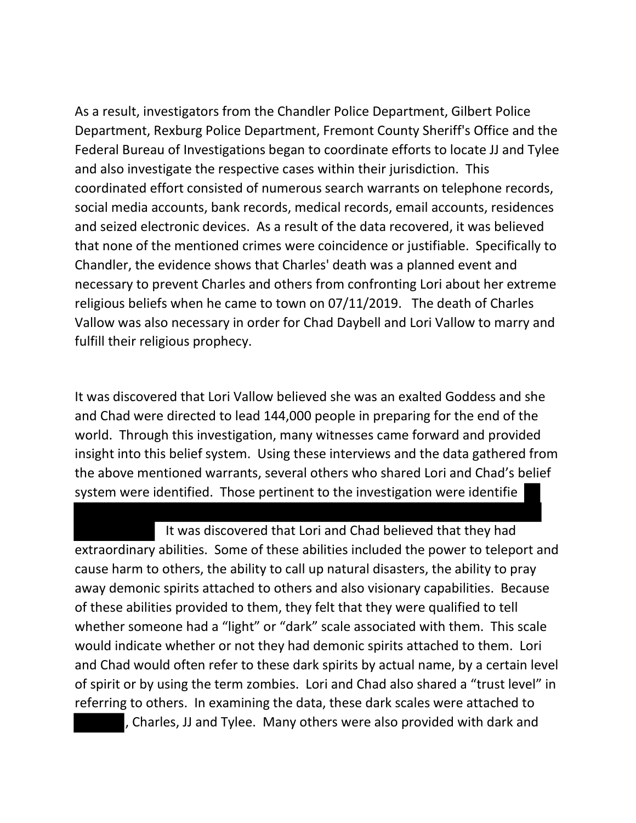As a result, investigators from the Chandler Police Department, Gilbert Police Department, Rexburg Police Department, Fremont County Sheriff's Office and the Federal Bureau of Investigations began to coordinate efforts to locate JJ and Tylee and also investigate the respective cases within their jurisdiction. This coordinated effort consisted of numerous search warrants on telephone records, social media accounts, bank records, medical records, email accounts, residences and seized electronic devices. As a result of the data recovered, it was believed that none of the mentioned crimes were coincidence or justifiable. Specifically to Chandler, the evidence shows that Charles' death was a planned event and necessary to prevent Charles and others from confronting Lori about her extreme religious beliefs when he came to town on 07/11/2019. The death of Charles Vallow was also necessary in order for Chad Daybell and Lori Vallow to marry and fulfill their religious prophecy.

It was discovered that Lori Vallow believed she was an exalted Goddess and she and Chad were directed to lead 144,000 people in preparing for the end of the world. Through this investigation, many witnesses came forward and provided insight into this belief system. Using these interviews and the data gathered from the above mentioned warrants, several others who shared Lori and Chad's belief system were identified. Those pertinent to the investigation were identifie

 It was discovered that Lori and Chad believed that they had extraordinary abilities. Some of these abilities included the power to teleport and cause harm to others, the ability to call up natural disasters, the ability to pray away demonic spirits attached to others and also visionary capabilities. Because of these abilities provided to them, they felt that they were qualified to tell whether someone had a "light" or "dark" scale associated with them. This scale would indicate whether or not they had demonic spirits attached to them. Lori and Chad would often refer to these dark spirits by actual name, by a certain level of spirit or by using the term zombies. Lori and Chad also shared a "trust level" in referring to others. In examining the data, these dark scales were attached to , Charles, JJ and Tylee. Many others were also provided with dark and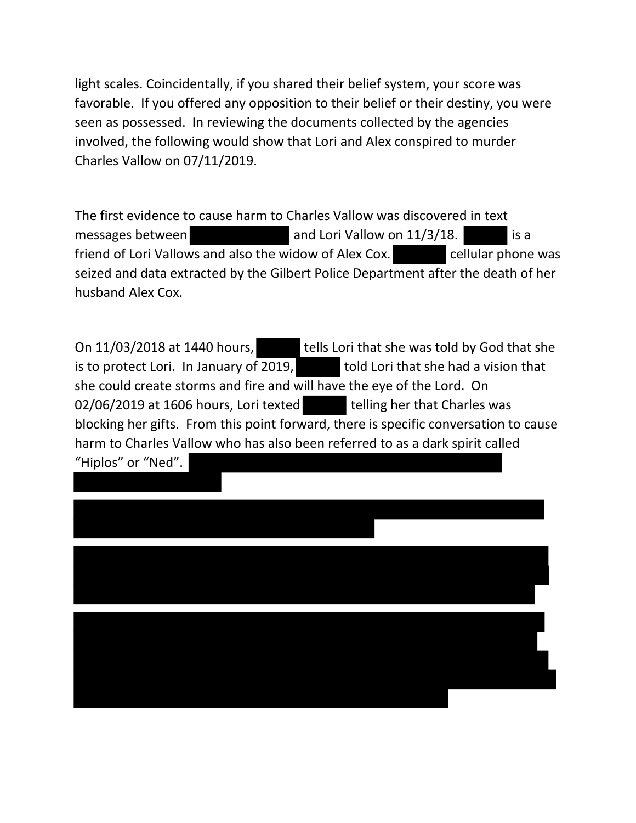light scales. Coincidentally, if you shared their belief system, your score was favorable. If you offered any opposition to their belief or their destiny, you were seen as possessed. In reviewing the documents collected by the agencies involved, the following would show that Lori and Alex conspired to murder Charles Vallow on 07/11/2019.

The first evidence to cause harm to Charles Vallow was discovered in text messages between  $\Box$  and Lori Vallow on  $11/3/18$ . friend of Lori Vallows and also the widow of Alex Cox. cellular phone was seized and data extracted by the Gilbert Police Department after the death of her husband Alex Cox.

On 11/03/2018 at 1440 hours, tells Lori that she was told by God that she is to protect Lori. In January of 2019, told Lori that she had a vision that she could create storms and fire and will have the eye of the Lord. On 02/06/2019 at 1606 hours, Lori texted telling her that Charles was blocking her gifts. From this point forward, there is specific conversation to cause harm to Charles Vallow who has also been referred to as a dark spirit called "Hiplos" or "Ned".

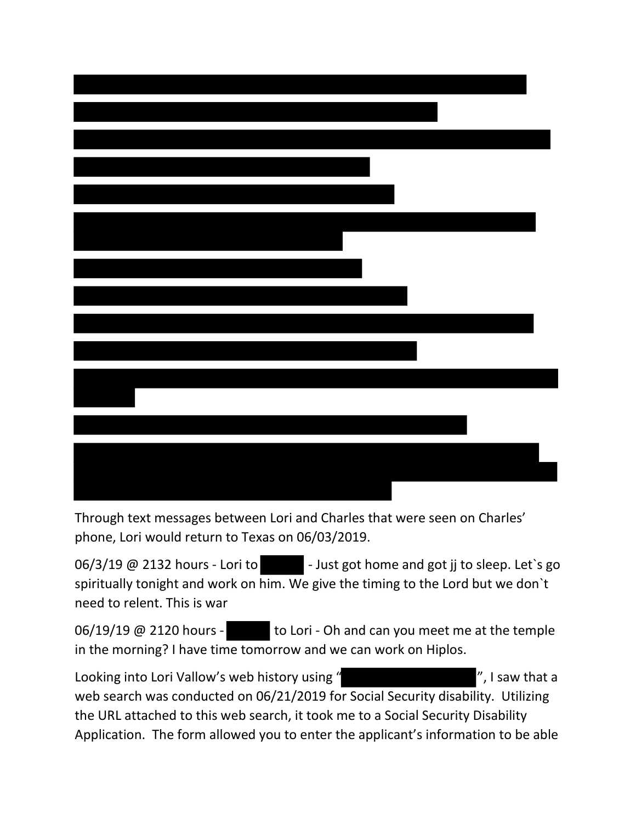Through text messages between Lori and Charles that were seen on Charles' phone, Lori would return to Texas on 06/03/2019.

 $06/3/19$  @ 2132 hours - Lori to  $-$  Just got home and got jj to sleep. Let's go spiritually tonight and work on him. We give the timing to the Lord but we don`t need to relent. This is war

06/19/19 @ 2120 hours - to Lori - Oh and can you meet me at the temple in the morning? I have time tomorrow and we can work on Hiplos.

Looking into Lori Vallow's web history using " The Manuson of The Muslim with a looking into Lori Vallow's web web search was conducted on 06/21/2019 for Social Security disability. Utilizing the URL attached to this web search, it took me to a Social Security Disability Application. The form allowed you to enter the applicant's information to be able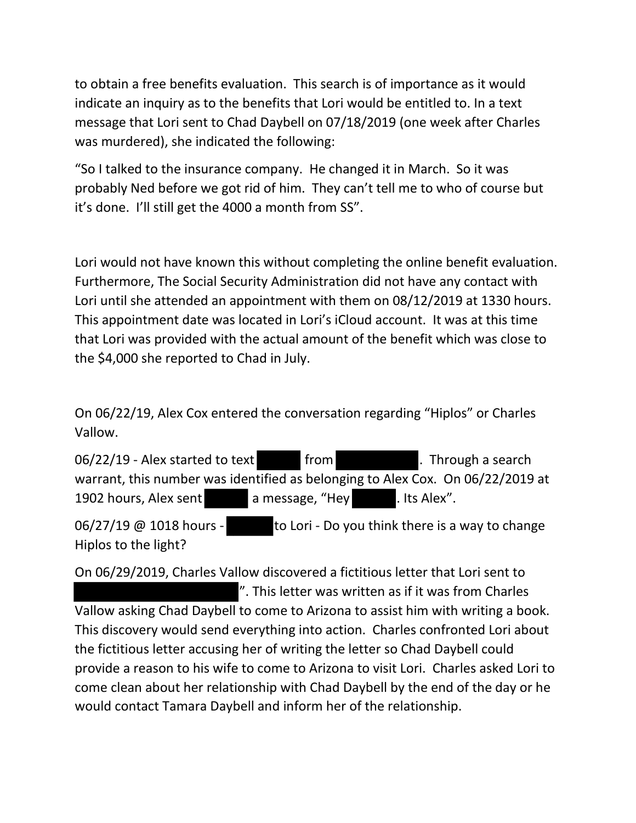to obtain a free benefits evaluation. This search is of importance as it would indicate an inquiry as to the benefits that Lori would be entitled to. In a text message that Lori sent to Chad Daybell on 07/18/2019 (one week after Charles was murdered), she indicated the following:

"So I talked to the insurance company. He changed it in March. So it was probably Ned before we got rid of him. They can't tell me to who of course but it's done. I'll still get the 4000 a month from SS".

Lori would not have known this without completing the online benefit evaluation. Furthermore, The Social Security Administration did not have any contact with Lori until she attended an appointment with them on 08/12/2019 at 1330 hours. This appointment date was located in Lori's iCloud account. It was at this time that Lori was provided with the actual amount of the benefit which was close to the \$4,000 she reported to Chad in July.

On 06/22/19, Alex Cox entered the conversation regarding "Hiplos" or Charles Vallow.

06/22/19 - Alex started to text from Through a search warrant, this number was identified as belonging to Alex Cox. On 06/22/2019 at 1902 hours, Alex sent a message, "Hey . Its Alex".

06/27/19  $\omega$  1018 hours - to Lori - Do you think there is a way to change Hiplos to the light?

On 06/29/2019, Charles Vallow discovered a fictitious letter that Lori sent to ". This letter was written as if it was from Charles

Vallow asking Chad Daybell to come to Arizona to assist him with writing a book. This discovery would send everything into action. Charles confronted Lori about the fictitious letter accusing her of writing the letter so Chad Daybell could provide a reason to his wife to come to Arizona to visit Lori. Charles asked Lori to come clean about her relationship with Chad Daybell by the end of the day or he would contact Tamara Daybell and inform her of the relationship.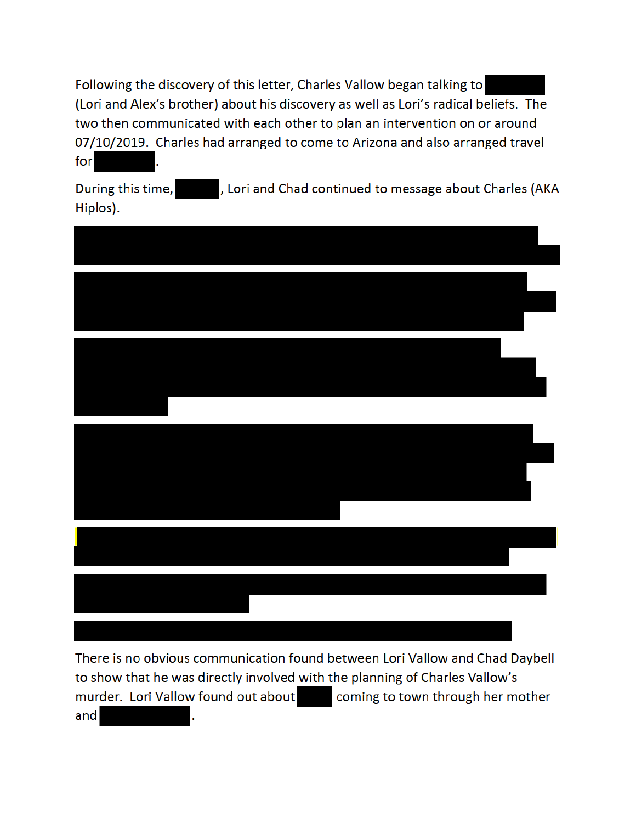Following the discovery of this letter, Charles Vallow began talking to (Lori and Alex's brother) about his discovery as well as Lori's radical beliefs. The two then communicated with each other to plan an intervention on or around 07/10/2019. Charles had arranged to come to Arizona and also arranged travel for

During this time, **Exercise 2**, Lori and Chad continued to message about Charles (AKA Hiplos).



There is no obvious communication found between Lori Vallow and Chad Daybell to show that he was directly involved with the planning of Charles Vallow's murder. Lori Vallow found out about coming to town through her mother and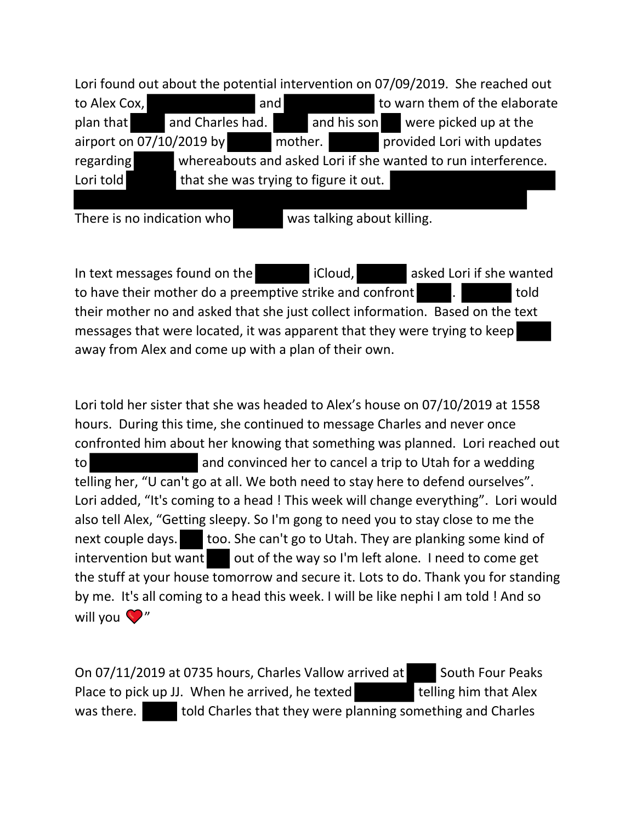Lori found out about the potential intervention on 07/09/2019. She reached out to Alex Cox, the same to warn them of the elaborate to Alex Cox, plan that and Charles had. and his son were picked up at the airport on 07/10/2019 by mother. provided Lori with updates regarding whereabouts and asked Lori if she wanted to run interference. Lori told that she was trying to figure it out.

There is no indication who was talking about killing.

In text messages found on the iCloud, asked Lori if she wanted to have their mother do a preemptive strike and confront **the same of the strike in the strike in** told their mother no and asked that she just collect information. Based on the text messages that were located, it was apparent that they were trying to keep away from Alex and come up with a plan of their own.

Lori told her sister that she was headed to Alex's house on 07/10/2019 at 1558 hours. During this time, she continued to message Charles and never once confronted him about her knowing that something was planned. Lori reached out to and convinced her to cancel a trip to Utah for a wedding telling her, "U can't go at all. We both need to stay here to defend ourselves". Lori added, "It's coming to a head ! This week will change everything". Lori would also tell Alex, "Getting sleepy. So I'm gong to need you to stay close to me the next couple days. too. She can't go to Utah. They are planking some kind of  $intervention$  but want out of the way so I'm left alone. I need to come get the stuff at your house tomorrow and secure it. Lots to do. Thank you for standing by me. It's all coming to a head this week. I will be like nephi I am told ! And so will you  $\mathbf{V}''$ 

On 07/11/2019 at 0735 hours, Charles Vallow arrived at South Four Peaks Place to pick up JJ. When he arrived, he texted telling him that Alex was there. told Charles that they were planning something and Charles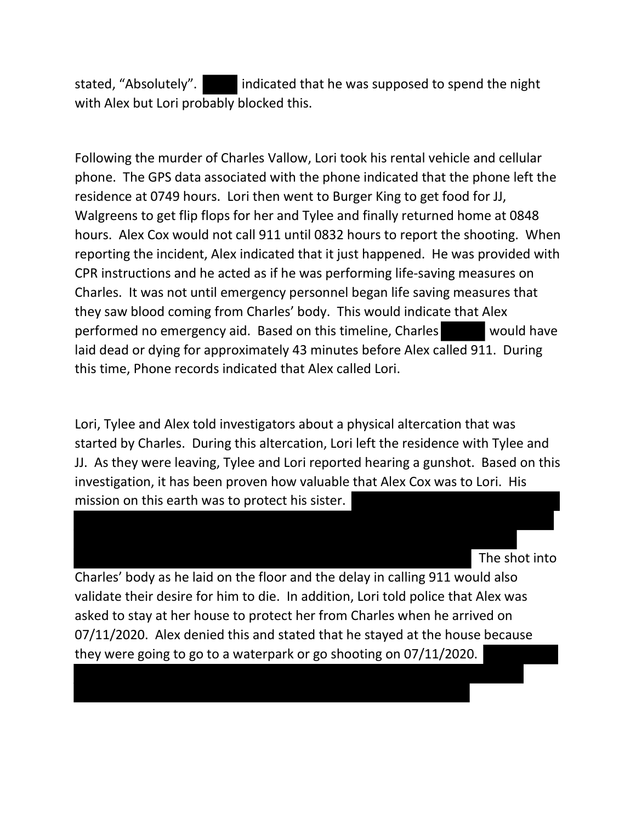stated, "Absolutely". indicated that he was supposed to spend the night with Alex but Lori probably blocked this.

Following the murder of Charles Vallow, Lori took his rental vehicle and cellular phone. The GPS data associated with the phone indicated that the phone left the residence at 0749 hours. Lori then went to Burger King to get food for JJ, Walgreens to get flip flops for her and Tylee and finally returned home at 0848 hours. Alex Cox would not call 911 until 0832 hours to report the shooting. When reporting the incident, Alex indicated that it just happened. He was provided with CPR instructions and he acted as if he was performing life-saving measures on Charles. It was not until emergency personnel began life saving measures that they saw blood coming from Charles' body. This would indicate that Alex performed no emergency aid. Based on this timeline, Charles would have laid dead or dying for approximately 43 minutes before Alex called 911. During this time, Phone records indicated that Alex called Lori.

Lori, Tylee and Alex told investigators about a physical altercation that was started by Charles. During this altercation, Lori left the residence with Tylee and JJ. As they were leaving, Tylee and Lori reported hearing a gunshot. Based on this investigation, it has been proven how valuable that Alex Cox was to Lori. His mission on this earth was to protect his sister.

The shot into

Charles' body as he laid on the floor and the delay in calling 911 would also validate their desire for him to die. In addition, Lori told police that Alex was asked to stay at her house to protect her from Charles when he arrived on 07/11/2020. Alex denied this and stated that he stayed at the house because they were going to go to a waterpark or go shooting on 07/11/2020.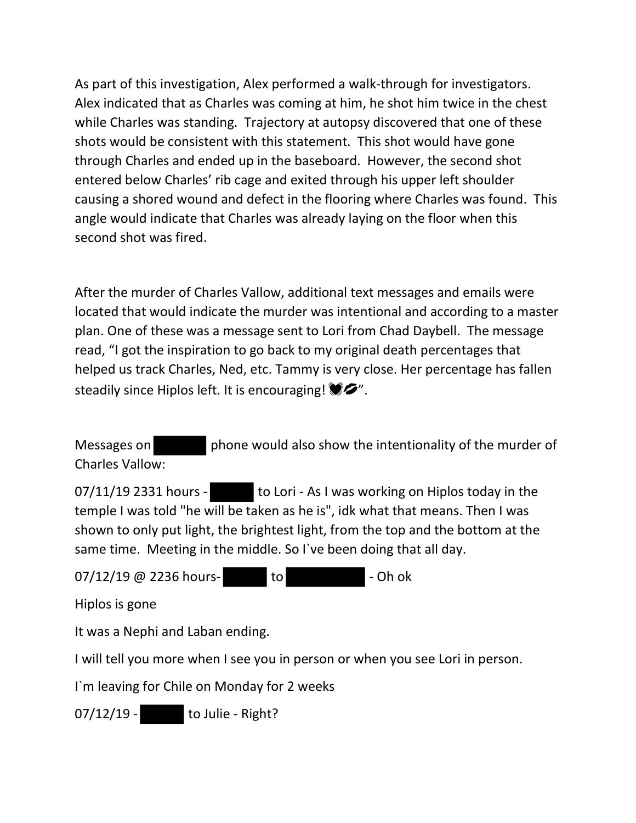As part of this investigation, Alex performed a walk-through for investigators. Alex indicated that as Charles was coming at him, he shot him twice in the chest while Charles was standing. Trajectory at autopsy discovered that one of these shots would be consistent with this statement. This shot would have gone through Charles and ended up in the baseboard. However, the second shot entered below Charles' rib cage and exited through his upper left shoulder causing a shored wound and defect in the flooring where Charles was found. This angle would indicate that Charles was already laying on the floor when this second shot was fired.

After the murder of Charles Vallow, additional text messages and emails were located that would indicate the murder was intentional and according to a master plan. One of these was a message sent to Lori from Chad Daybell. The message read, "I got the inspiration to go back to my original death percentages that helped us track Charles, Ned, etc. Tammy is very close. Her percentage has fallen steadily since Hiplos left. It is encouraging!  $\bullet$ .

Messages on phone would also show the intentionality of the murder of Charles Vallow:

07/11/19 2331 hours - to Lori - As I was working on Hiplos today in the temple I was told "he will be taken as he is", idk what that means. Then I was shown to only put light, the brightest light, from the top and the bottom at the same time. Meeting in the middle. So I`ve been doing that all day.

07/12/19 @ 2236 hours- to to - Oh ok

Hiplos is gone

It was a Nephi and Laban ending.

I will tell you more when I see you in person or when you see Lori in person.

I`m leaving for Chile on Monday for 2 weeks

07/12/19 - to Julie - Right?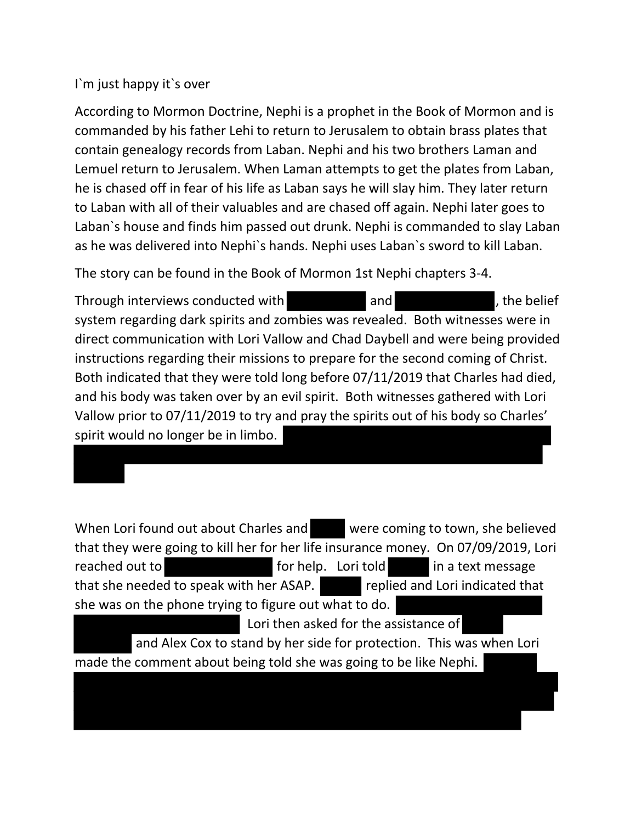## I`m just happy it`s over

According to Mormon Doctrine, Nephi is a prophet in the Book of Mormon and is commanded by his father Lehi to return to Jerusalem to obtain brass plates that contain genealogy records from Laban. Nephi and his two brothers Laman and Lemuel return to Jerusalem. When Laman attempts to get the plates from Laban, he is chased off in fear of his life as Laban says he will slay him. They later return to Laban with all of their valuables and are chased off again. Nephi later goes to Laban`s house and finds him passed out drunk. Nephi is commanded to slay Laban as he was delivered into Nephi`s hands. Nephi uses Laban`s sword to kill Laban.

The story can be found in the Book of Mormon 1st Nephi chapters 3-4.

Through interviews conducted with and and , the belief system regarding dark spirits and zombies was revealed. Both witnesses were in direct communication with Lori Vallow and Chad Daybell and were being provided instructions regarding their missions to prepare for the second coming of Christ. Both indicated that they were told long before 07/11/2019 that Charles had died, and his body was taken over by an evil spirit. Both witnesses gathered with Lori Vallow prior to 07/11/2019 to try and pray the spirits out of his body so Charles' spirit would no longer be in limbo.

When Lori found out about Charles and were coming to town, she believed that they were going to kill her for her life insurance money. On 07/09/2019, Lori reached out to **for help.** Lori told in a text message that she needed to speak with her ASAP. replied and Lori indicated that she was on the phone trying to figure out what to do.

Lori then asked for the assistance of and Alex Cox to stand by her side for protection. This was when Lori made the comment about being told she was going to be like Nephi.